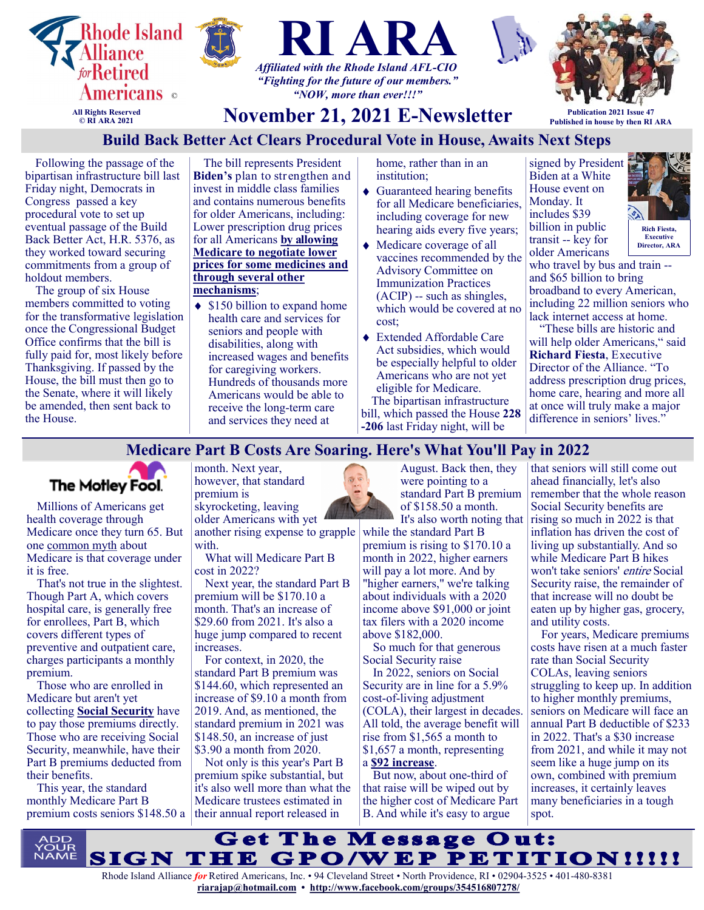

# **Build Back Better Act Clears Procedural Vote in House, Awaits Next Steps**

Following the passage of the bipartisan infrastructure bill last Friday night, Democrats in Congress passed a key procedural vote to set up eventual passage of the Build Back Better Act, H.R. 5376, as they worked toward securing commitments from a group of holdout members.

The group of six House members committed to voting for the transformative legislation once the Congressional Budget Office confirms that the bill is fully paid for, most likely before Thanksgiving. If passed by the House, the bill must then go to the Senate, where it will likely be amended, then sent back to the House.

The bill represents President **Biden's** plan to strengthen and invest in middle class families and contains numerous benefits for older Americans, including: Lower prescription drug prices for all Americans **[by allowing](https://na01.safelinks.protection.outlook.com/?url=https%3A%2F%2Fu1584542.ct.sendgrid.net%2Fss%2Fc%2FZsYp6Jc2ATNP3MkVzvte6IX7LXmCC1H1bxMzsGmXS2iIEyRlK6V03w75ciiu-au5EaikRQ-51-nD9afKeRZ3nGjER2xjc7XyiTtBOQSvaq8R33yOiwQ8CZs7GDipovgkbIvd3XCz49d2Nx7y-c7ZaZLgB_Njf4)  [Medicare to negotiate lower](https://na01.safelinks.protection.outlook.com/?url=https%3A%2F%2Fu1584542.ct.sendgrid.net%2Fss%2Fc%2FZsYp6Jc2ATNP3MkVzvte6IX7LXmCC1H1bxMzsGmXS2iIEyRlK6V03w75ciiu-au5EaikRQ-51-nD9afKeRZ3nGjER2xjc7XyiTtBOQSvaq8R33yOiwQ8CZs7GDipovgkbIvd3XCz49d2Nx7y-c7ZaZLgB_Njf4)  [prices for some medicines and](https://na01.safelinks.protection.outlook.com/?url=https%3A%2F%2Fu1584542.ct.sendgrid.net%2Fss%2Fc%2FZsYp6Jc2ATNP3MkVzvte6IX7LXmCC1H1bxMzsGmXS2iIEyRlK6V03w75ciiu-au5EaikRQ-51-nD9afKeRZ3nGjER2xjc7XyiTtBOQSvaq8R33yOiwQ8CZs7GDipovgkbIvd3XCz49d2Nx7y-c7ZaZLgB_Njf4)  [through several other](https://na01.safelinks.protection.outlook.com/?url=https%3A%2F%2Fu1584542.ct.sendgrid.net%2Fss%2Fc%2FZsYp6Jc2ATNP3MkVzvte6IX7LXmCC1H1bxMzsGmXS2iIEyRlK6V03w75ciiu-au5EaikRQ-51-nD9afKeRZ3nGjER2xjc7XyiTtBOQSvaq8R33yOiwQ8CZs7GDipovgkbIvd3XCz49d2Nx7y-c7ZaZLgB_Njf4)  [mechanisms](https://na01.safelinks.protection.outlook.com/?url=https%3A%2F%2Fu1584542.ct.sendgrid.net%2Fss%2Fc%2FZsYp6Jc2ATNP3MkVzvte6IX7LXmCC1H1bxMzsGmXS2iIEyRlK6V03w75ciiu-au5EaikRQ-51-nD9afKeRZ3nGjER2xjc7XyiTtBOQSvaq8R33yOiwQ8CZs7GDipovgkbIvd3XCz49d2Nx7y-c7ZaZLgB_Njf4)**;

 $\triangleleft$  \$150 billion to expand home health care and services for seniors and people with disabilities, along with increased wages and benefits for caregiving workers. Hundreds of thousands more Americans would be able to receive the long-term care and services they need at

home, rather than in an institution;

- Guaranteed hearing benefits for all Medicare beneficiaries, including coverage for new hearing aids every five years;
- Medicare coverage of all vaccines recommended by the Advisory Committee on Immunization Practices (ACIP) -- such as shingles, which would be covered at no cost;
- Extended Affordable Care Act subsidies, which would be especially helpful to older Americans who are not yet eligible for Medicare.

The bipartisan infrastructure bill, which passed the House **[228](https://na01.safelinks.protection.outlook.com/?url=https%3A%2F%2Fu1584542.ct.sendgrid.net%2Fss%2Fc%2FMqag7sW8TIW-nixyBdulQnVgiHXspU1wHUtThDUhCKEkSQYVvzIP5NTxw3C-KsM2cs-ytdDI5pICT98MN7mS0OJpD2_d1TCftthgWG0bDwnfx5F46mSGuoTEsFAekk54ZvamKezxKMWUGhVA8GCz4sAULnbc2Q) -[206](https://na01.safelinks.protection.outlook.com/?url=https%3A%2F%2Fu1584542.ct.sendgrid.net%2Fss%2Fc%2FMqag7sW8TIW-nixyBdulQnVgiHXspU1wHUtThDUhCKEkSQYVvzIP5NTxw3C-KsM2cs-ytdDI5pICT98MN7mS0OJpD2_d1TCftthgWG0bDwnfx5F46mSGuoTEsFAekk54ZvamKezxKMWUGhVA8GCz4sAULnbc2Q)** last Friday night, will be

signed by President Biden at a White House event on Monday. It includes \$39 billion in public transit -- key for older Americans



**Director, ARA**

who travel by bus and train - and \$65 billion to bring broadband to every American, including 22 million seniors who lack internet access at home.

"These bills are historic and will help older Americans," said **Richard Fiesta**, Executive Director of the Alliance. "To address prescription drug prices, home care, hearing and more all at once will truly make a major difference in seniors' lives."

#### **Medicare Part B Costs Are Soaring. Here's What You'll Pay in 2022**



Millions of Americans get health coverage through Medicare once they turn 65. But one [common myth](https://www.fool.com/retirement/2020/10/25/5-medicare-myths-that-could-destroy-your-retiremen/?utm_source=msnrss&utm_medium=feed&utm_campaign=article&referring_guid=70099c12-2fa1-4701-a58f-75755593a081) about Medicare is that coverage under it is free.

That's not true in the slightest. Though Part A, which covers hospital care, is generally free for enrollees, Part B, which covers different types of preventive and outpatient care, charges participants a monthly premium.

Those who are enrolled in Medicare but aren't yet collecting **[Social Security](https://www.fool.com/retirement/social-security/?utm_source=msnrss&utm_medium=feed&utm_campaign=article&referring_guid=70099c12-2fa1-4701-a58f-75755593a081)** have to pay those premiums directly. Those who are receiving Social Security, meanwhile, have their Part B premiums deducted from their benefits.

This year, the standard monthly Medicare Part B premium costs seniors \$148.50 a month. Next year, however, that standard premium is skyrocketing, leaving

older Americans with yet another rising expense to grapple with.

What will Medicare Part B cost in 2022?

Next year, the standard Part B premium will be \$170.10 a month. That's an increase of \$29.60 from 2021. It's also a huge jump compared to recent increases.

For context, in 2020, the standard Part B premium was \$144.60, which represented an increase of \$9.10 a month from 2019. And, as mentioned, the standard premium in 2021 was \$148.50, an increase of just \$3.90 a month from 2020.

Not only is this year's Part B premium spike substantial, but it's also well more than what the Medicare trustees estimated in their annual report released in



August. Back then, they were pointing to a standard Part B premium of \$158.50 a month. It's also worth noting that

while the standard Part B premium is rising to \$170.10 a month in 2022, higher earners will pay a lot more. And by "higher earners," we're talking about individuals with a 2020 income above \$91,000 or joint tax filers with a 2020 income above \$182,000.

So much for that generous Social Security raise

In 2022, seniors on Social Security are in line for a 5.9% cost-of-living adjustment (COLA), their largest in decades. All told, the average benefit will rise from \$1,565 a month to \$1,657 a month, representing a **[\\$92 increase](https://www.fool.com/retirement/2021/10/19/social-security-recipients-could-get-92-richer-per/?utm_source=msnrss&utm_medium=feed&utm_campaign=article&referring_guid=70099c12-2fa1-4701-a58f-75755593a081)**.

But now, about one-third of that raise will be wiped out by the higher cost of Medicare Part B. And while it's easy to argue

that seniors will still come out ahead financially, let's also remember that the whole reason Social Security benefits are rising so much in 2022 is that inflation has driven the cost of living up substantially. And so while Medicare Part B hikes won't take seniors' entire Social Security raise, the remainder of that increase will no doubt be eaten up by higher gas, grocery, and utility costs.

For years, Medicare premiums costs have risen at a much faster rate than Social Security COLAs, leaving seniors struggling to keep up. In addition to higher monthly premiums, seniors on Medicare will face an annual Part B deductible of \$233 in 2022. That's a \$30 increase from 2021, and while it may not seem like a huge jump on its own, combined with premium increases, it certainly leaves many beneficiaries in a tough spot.

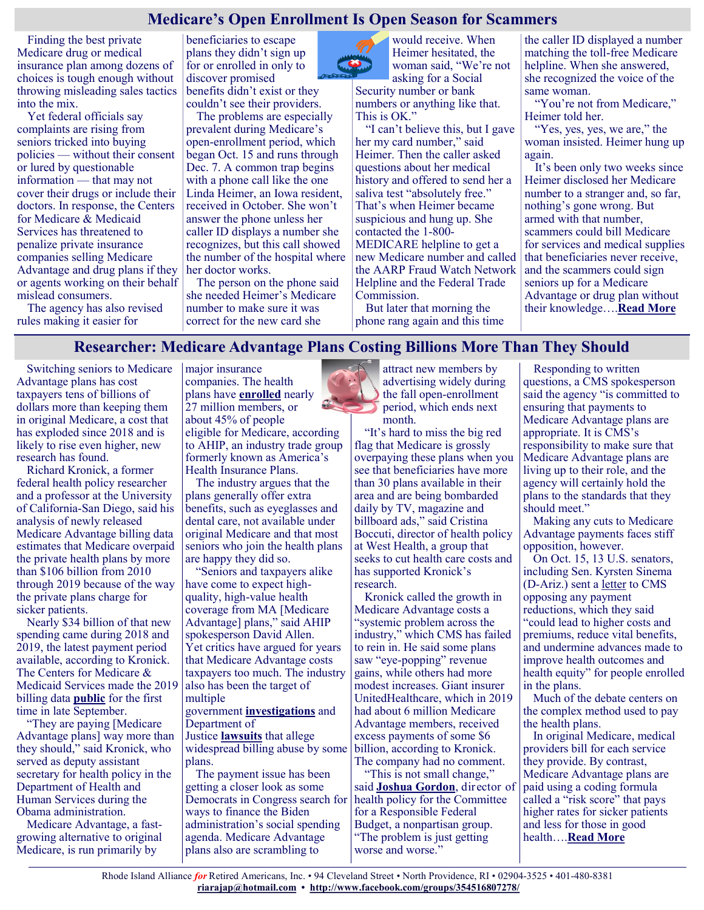## **Medicare's Open Enrollment Is Open Season for Scammers**

Finding the best private Medicare drug or medical insurance plan among dozens of choices is tough enough without throwing misleading sales tactics into the mix.

Yet federal officials say complaints are rising from seniors tricked into buying policies — without their consent or lured by questionable information — that may not cover their drugs or include their doctors. In response, the Centers for Medicare & Medicaid Services has threatened to penalize private insurance companies selling Medicare Advantage and drug plans if they or agents working on their behalf mislead consumers.

The agency has also revised rules making it easier for

beneficiaries to escape plans they didn't sign up for or enrolled in only to discover promised benefits didn't exist or they couldn't see their providers.

The problems are especially prevalent during Medicare's open-enrollment period, which began Oct. 15 and runs through Dec. 7. A common trap begins with a phone call like the one Linda Heimer, an Iowa resident, received in October. She won't answer the phone unless her caller ID displays a number she recognizes, but this call showed the number of the hospital where her doctor works.

The person on the phone said she needed Heimer's Medicare number to make sure it was correct for the new card she

would receive. When Heimer hesitated, the woman said, "We're not asking for a Social

Security number or bank numbers or anything like that. This is OK."

"I can't believe this, but I gave her my card number," said Heimer. Then the caller asked questions about her medical history and offered to send her a saliva test "absolutely free." That's when Heimer became suspicious and hung up. She contacted the 1-800- MEDICARE helpline to get a new Medicare number and called the AARP Fraud Watch Network Helpline and the Federal Trade Commission.

But later that morning the phone rang again and this time the caller ID displayed a number matching the toll-free Medicare helpline. When she answered, she recognized the voice of the same woman.

"You're not from Medicare," Heimer told her.

"Yes, yes, yes, we are," the woman insisted. Heimer hung up again.

It's been only two weeks since Heimer disclosed her Medicare number to a stranger and, so far, nothing's gone wrong. But armed with that number, scammers could bill Medicare for services and medical supplies that beneficiaries never receive, and the scammers could sign seniors up for a Medicare Advantage or drug plan without their knowledge….**[Read More](https://khn.org/news/article/medicares-open-enrollment-is-open-season-for-scammers/)**

#### **Researcher: Medicare Advantage Plans Costing Billions More Than They Should**

Switching seniors to Medicare Advantage plans has cost taxpayers tens of billions of dollars more than keeping them in original Medicare, a cost that has exploded since 2018 and is likely to rise even higher, new research has found.

Richard Kronick, a former federal health policy researcher and a professor at the University of California-San Diego, said his analysis of newly released Medicare Advantage billing data estimates that Medicare overpaid the private health plans by more than \$106 billion from 2010 through 2019 because of the way the private plans charge for sicker patients.

Nearly \$34 billion of that new spending came during 2018 and 2019, the latest payment period available, according to Kronick. The Centers for Medicare & Medicaid Services made the 2019 billing data **[public](https://www.cms.gov/Medicare/Medicare-Advantage/Plan-Payment/Plan-Payment-Data)** for the first time in late September.

"They are paying [Medicare Advantage plans] way more than they should," said Kronick, who served as deputy assistant secretary for health policy in the Department of Health and Human Services during the Obama administration.

Medicare Advantage, a fastgrowing alternative to original Medicare, is run primarily by

major insurance companies. The health plans have **[enrolled](https://www.ahip.org/7-things-you-need-to-know-about-medicare-advantage/)** nearly 27 million members, or about 45% of people eligible for Medicare, according to AHIP, an industry trade group formerly known as America's Health Insurance Plans.

The industry argues that the plans generally offer extra benefits, such as eyeglasses and dental care, not available under original Medicare and that most seniors who join the health plans are happy they did so.

"Seniors and taxpayers alike have come to expect highquality, high-value health coverage from MA [Medicare Advantage] plans," said AHIP spokesperson David Allen. Yet critics have argued for years that Medicare Advantage costs taxpayers too much. The industry also has been the target of multiple

#### government **[investigations](https://www.gao.gov/products/gao-16-76)** and Department of

Justice **[lawsuits](https://www.justice.gov/usao-sdny/pr/manhattan-us-attorney-files-civil-fraud-suit-against-anthem-inc-falsely-certifying)** that allege widespread billing abuse by some plans.

The payment issue has been getting a closer look as some Democrats in Congress search for ways to finance the Biden administration's social spending agenda. Medicare Advantage plans also are scrambling to



attract new members by advertising widely during the fall open-enrollment period, which ends next month.

"It's hard to miss the big red flag that Medicare is grossly overpaying these plans when you see that beneficiaries have more than 30 plans available in their area and are being bombarded daily by TV, magazine and billboard ads," said Cristina Boccuti, director of health policy at West Health, a group that seeks to cut health care costs and has supported Kronick's research.

Kronick called the growth in Medicare Advantage costs a "systemic problem across the industry," which CMS has failed to rein in. He said some plans saw "eye-popping" revenue gains, while others had more modest increases. Giant insurer UnitedHealthcare, which in 2019 had about 6 million Medicare Advantage members, received excess payments of some \$6 billion, according to Kronick. The company had no comment.

"This is not small change," said **[Joshua Gordon](https://www.crfb.org/biography/staff/joshua-gordon)**, director of health policy for the Committee for a Responsible Federal Budget, a nonpartisan group. "The problem is just getting worse and worse."

Responding to written questions, a CMS spokesperson said the agency "is committed to ensuring that payments to Medicare Advantage plans are appropriate. It is CMS's responsibility to make sure that Medicare Advantage plans are living up to their role, and the agency will certainly hold the plans to the standards that they should meet."

Making any cuts to Medicare Advantage payments faces stiff opposition, however.

On Oct. 15, 13 U.S. senators, including Sen. Kyrsten Sinema (D-Ariz.) sent a [letter](https://www.sinema.senate.gov/sinema-and-bipartisan-group-colleagues-commit-protecting-and-strengthening-medicare-advantage) to CMS opposing any payment reductions, which they said "could lead to higher costs and premiums, reduce vital benefits, and undermine advances made to improve health outcomes and health equity" for people enrolled in the plans.

Much of the debate centers on the complex method used to pay the health plans.

In original Medicare, medical providers bill for each service they provide. By contrast, Medicare Advantage plans are paid using a coding formula called a "risk score" that pays higher rates for sicker patients and less for those in good health….**[Read More](https://khn.org/news/article/medicare-advantage-overpayments-cost-taxpayers-billions-researcher-says/)**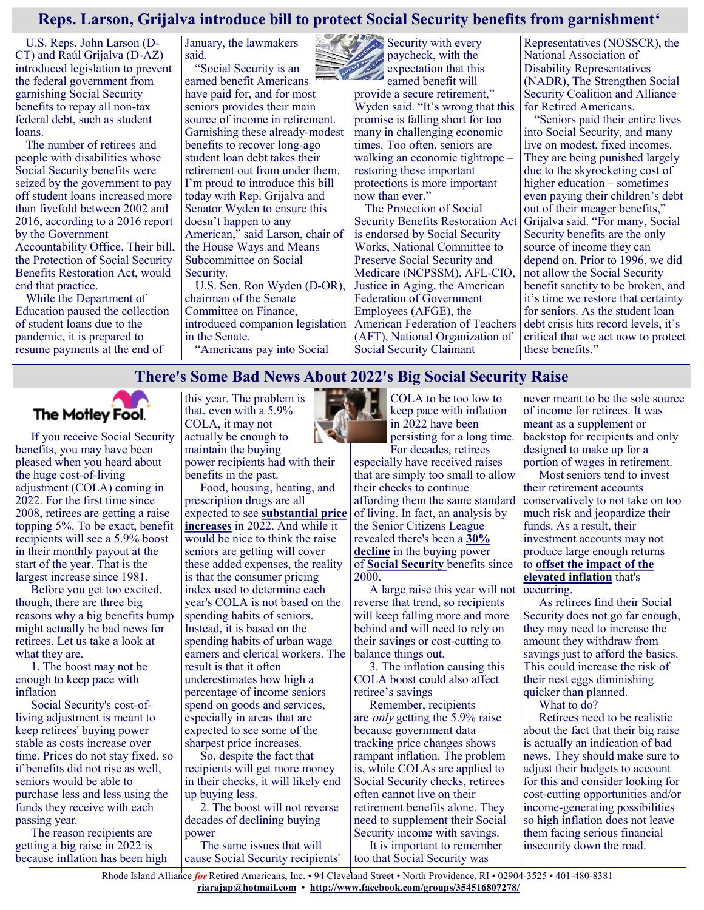# **Reps. Larson, Grijalva introduce bill to protect Social Security benefits from garnishment'**

U.S. Reps. John Larson (D-CT) and Raúl Grijalva (D-AZ) introduced legislation to prevent the federal government from garnishing Social Security benefits to repay all non-tax federal debt, such as student loans.

The number of retirees and people with disabilities whose Social Security benefits were seized by the government to pay off student loans increased more than fivefold between 2002 and 2016, according to a 2016 report by the Government Accountability Office. Their bill, the Protection of Social Security Benefits Restoration Act, would end that practice.

While the Department of Education paused the collection of student loans due to the pandemic, it is prepared to resume payments at the end of

January, the lawmakers said.

"Social Security is an earned benefit Americans have paid for, and for most seniors provides their main source of income in retirement. Garnishing these already-modest benefits to recover long-ago student loan debt takes their retirement out from under them. I'm proud to introduce this bill today with Rep. Grijalva and Senator Wyden to ensure this doesn't happen to any American," said Larson, chair of the House Ways and Means Subcommittee on Social Security.

U.S. Sen. Ron Wyden (D-OR), chairman of the Senate Committee on Finance, introduced companion legislation in the Senate. "Americans pay into Social

 $S$ ecurity with every paycheck, with the expectation that this earned benefit will provide a secure retirement," Wyden said. "It's wrong that this promise is falling short for too many in challenging economic times. Too often, seniors are walking an economic tightrope – restoring these important protections is more important now than ever."

The Protection of Social Security Benefits Restoration Act is endorsed by Social Security Works, National Committee to Preserve Social Security and Medicare (NCPSSM), AFL-CIO, Justice in Aging, the American Federation of Government Employees (AFGE), the American Federation of Teachers (AFT), National Organization of Social Security Claimant

Representatives (NOSSCR), the National Association of Disability Representatives (NADR), The Strengthen Social Security Coalition and Alliance for Retired Americans.

"Seniors paid their entire lives into Social Security, and many live on modest, fixed incomes. They are being punished largely due to the skyrocketing cost of higher education – sometimes even paying their children's debt out of their meager benefits," Grijalva said. "For many, Social Security benefits are the only source of income they can depend on. Prior to 1996, we did not allow the Social Security benefit sanctity to be broken, and it's time we restore that certainty for seniors. As the student loan debt crisis hits record levels, it's critical that we act now to protect these benefits."

# **There's Some Bad News About 2022's Big Social Security Raise**



benefits, you may have been pleased when you heard about the huge cost-of-living adjustment (COLA) coming in 2022. For the first time since 2008, retirees are getting a raise topping 5%. To be exact, benefit recipients will see a 5.9% boost in their monthly payout at the start of the year. That is the largest increase since 1981.

Before you get too excited, though, there are three big reasons why a big benefits bump might actually be bad news for retirees. Let us take a look at what they are.

1. The boost may not be enough to keep pace with inflation

Social Security's cost-ofliving adjustment is meant to keep retirees' buying power stable as costs increase over time. Prices do not stay fixed, so if benefits did not rise as well, seniors would be able to purchase less and less using the funds they receive with each passing year.

The reason recipients are getting a big raise in 2022 is because inflation has been high this year. The problem is that, even with a 5.9% COLA, it may not actually be enough to maintain the buying power recipients had with their benefits in the past.

Food, housing, heating, and prescription drugs are all expected to see **[substantial price](https://duckduckgo.com/?q=5+Price+Increases+That+Will+Eat+Away+at+Your+Social+Security+Raise+motley+fool&ia=web)  [increases](https://duckduckgo.com/?q=5+Price+Increases+That+Will+Eat+Away+at+Your+Social+Security+Raise+motley+fool&ia=web)** in 2022. And while it would be nice to think the raise seniors are getting will cover these added expenses, the reality is that the consumer pricing index used to determine each year's COLA is not based on the spending habits of seniors. Instead, it is based on the spending habits of urban wage earners and clerical workers. The result is that it often underestimates how high a percentage of income seniors spend on goods and services, especially in areas that are expected to see some of the sharpest price increases.

So, despite the fact that recipients will get more money in their checks, it will likely end up buying less.

2. The boost will not reverse decades of declining buying power

The same issues that will cause Social Security recipients'



keep pace with inflation in 2022 have been persisting for a long time. For decades, retirees

especially have received raises that are simply too small to allow their checks to continue affording them the same standard of living. In fact, an analysis by the Senior Citizens League revealed there's been a **[30%](https://www.fool.com/retirement/2020/07/15/social-security-benefits-have-lost-30-of-their-val.aspx?utm_source=msnrss&utm_medium=feed&utm_campaign=article&referring_guid=6c32a3ea-4fd8-44d5-a66b-75453872661b)  [decline](https://www.fool.com/retirement/2020/07/15/social-security-benefits-have-lost-30-of-their-val.aspx?utm_source=msnrss&utm_medium=feed&utm_campaign=article&referring_guid=6c32a3ea-4fd8-44d5-a66b-75453872661b)** in the buying power of **[Social Security](https://www.fool.com/retirement/social-security/?utm_source=msnrss&utm_medium=feed&utm_campaign=article&referring_guid=6c32a3ea-4fd8-44d5-a66b-75453872661b)** benefits since 2000.

A large raise this year will not reverse that trend, so recipients will keep falling more and more behind and will need to rely on their savings or cost-cutting to balance things out.

3. The inflation causing this COLA boost could also affect retiree's savings

Remember, recipients are only getting the 5.9% raise because government data tracking price changes shows rampant inflation. The problem is, while COLAs are applied to Social Security checks, retirees often cannot live on their retirement benefits alone. They need to supplement their Social Security income with savings.

It is important to remember too that Social Security was

never meant to be the sole source of income for retirees. It was meant as a supplement or backstop for recipients and only designed to make up for a portion of wages in retirement.

Most seniors tend to invest their retirement accounts conservatively to not take on too much risk and jeopardize their funds. As a result, their investment accounts may not produce large enough returns to **[offset the impact of the](https://www.fool.com/investing/2021/11/01/3-smart-stocks-to-hedge-against-inflation/?utm_source=msnrss&utm_medium=feed&utm_campaign=article&referring_guid=6c32a3ea-4fd8-44d5-a66b-75453872661b)  [elevated inflation](https://www.fool.com/investing/2021/11/01/3-smart-stocks-to-hedge-against-inflation/?utm_source=msnrss&utm_medium=feed&utm_campaign=article&referring_guid=6c32a3ea-4fd8-44d5-a66b-75453872661b)** that's occurring.

As retirees find their Social Security does not go far enough. they may need to increase the amount they withdraw from savings just to afford the basics. This could increase the risk of their nest eggs diminishing quicker than planned.

What to do?

Retirees need to be realistic about the fact that their big raise is actually an indication of bad news. They should make sure to adjust their budgets to account for this and consider looking for cost-cutting opportunities and/or income-generating possibilities so high inflation does not leave them facing serious financial insecurity down the road.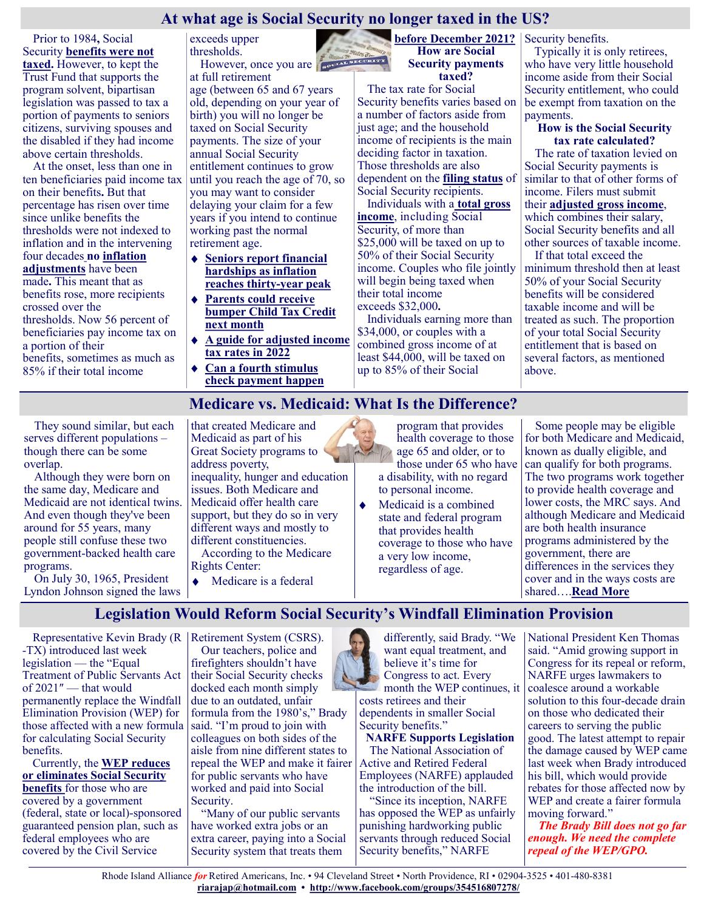# **At what age is Social Security no longer taxed in the US?**

Prior to 1984**,** Social Security **[benefits were not](https://www.ssa.gov/policy/docs/research-summaries/income-taxes-on-benefits.html)  [taxed.](https://www.ssa.gov/policy/docs/research-summaries/income-taxes-on-benefits.html)** However, to kept the Trust Fund that supports the program solvent, bipartisan legislation was passed to tax a portion of payments to seniors citizens, surviving spouses and the disabled if they had income above certain thresholds.

At the onset, less than one in ten beneficiaries paid income tax on their benefits**.** But that percentage has risen over time since unlike benefits the thresholds were not indexed to inflation and in the intervening four decades **[no inflation](https://www.investopedia.com/ask/answers/013015/how-can-i-avoid-paying-taxes-my-social-security-income.asp)  [adjustments](https://www.investopedia.com/ask/answers/013015/how-can-i-avoid-paying-taxes-my-social-security-income.asp)** have been made**.** This meant that as benefits rose, more recipients crossed over the thresholds. Now 56 percent of beneficiaries pay income tax on a portion of their benefits, sometimes as much as 85% if their total income

exceeds upper thresholds. However, once you are **not the set of the set of the set of the set of the set of the set of the set of the set of the set of the set of the set of the set of the set of the set of the set of the set of the set of the set** 

at full retirement age (between 65 and 67 years old, depending on your year of birth) you will no longer be taxed on Social Security payments. The size of your annual Social Security entitlement continues to grow until you reach the age of 70, so you may want to consider delaying your claim for a few years if you intend to continue working past the normal retirement age.

- **[Seniors report financial](https://en.as.com/en/2021/11/11/latest_news/1636668933_014946.html)  [hardships as inflation](https://en.as.com/en/2021/11/11/latest_news/1636668933_014946.html)  [reaches thirty](https://en.as.com/en/2021/11/11/latest_news/1636668933_014946.html)-year peak**
- **[Parents could receive](https://en.as.com/en/2021/11/12/latest_news/1636682416_201299.html)  [bumper Child Tax Credit](https://en.as.com/en/2021/11/12/latest_news/1636682416_201299.html)  [next month](https://en.as.com/en/2021/11/12/latest_news/1636682416_201299.html)**
- **[A guide for adjusted income](https://en.as.com/en/2021/11/11/latest_news/1636639300_110592.html)  [tax rates in 2022](https://en.as.com/en/2021/11/11/latest_news/1636639300_110592.html)**
- **[Can a fourth stimulus](https://en.as.com/en/2021/11/10/latest_news/1636500719_523903.html)  [check payment happen](https://en.as.com/en/2021/11/10/latest_news/1636500719_523903.html)**

**[before December 2021?](https://en.as.com/en/2021/11/10/latest_news/1636500719_523903.html) How are Social Security payments taxed?**

The tax rate for Social Security benefits varies based on a number of factors aside from just age; and the household income of recipients is the main deciding factor in taxation. Those thresholds are also dependent on the **[filing status](https://en.as.com/en/2021/11/11/latest_news/1636639300_110592.html)** of Social Security recipients.

Individuals with a **[total gross](https://www.nolo.com/legal-encyclopedia/taxes-social-security-benefits.html)  [income](https://www.nolo.com/legal-encyclopedia/taxes-social-security-benefits.html)**, including Social Security, of more than \$25,000 will be taxed on up to 50% of their Social Security income. Couples who file jointly will begin being taxed when their total income exceeds \$32,000**.**

Individuals earning more than \$34,000, or couples with a combined gross income of at least \$44,000, will be taxed on up to 85% of their Social

Security benefits.

Typically it is only retirees, who have very little household income aside from their Social Security entitlement, who could be exempt from taxation on the payments.

#### **How is the Social Security tax rate calculated?**

The rate of taxation levied on Social Security payments is similar to that of other forms of income. Filers must submit their **[adjusted gross income](https://www.irs.gov/e-file-providers/definition-of-adjusted-gross-income)**, which combines their salary, Social Security benefits and all other sources of taxable income.

If that total exceed the minimum threshold then at least 50% of your Social Security benefits will be considered taxable income and will be treated as such. The proportion of your total Social Security entitlement that is based on several factors, as mentioned above.

#### **Medicare vs. Medicaid: What Is the Difference?**

They sound similar, but each serves different populations – though there can be some overlap.

Although they were born on the same day, Medicare and Medicaid are not identical twins. And even though they've been around for 55 years, many people still confuse these two government-backed health care programs.

On July 30, 1965, President Lyndon Johnson signed the laws that created Medicare and Medicaid as part of his Great Society programs to address poverty,

inequality, hunger and education issues. Both Medicare and Medicaid offer health care support, but they do so in very different ways and mostly to different constituencies.

According to the Medicare Rights Center:

◆ Medicare is a federal

program that provides health coverage to those age 65 and older, or to those under 65 who have a disability, with no regard to personal income.

 $\blacklozenge$ Medicaid is a combined state and federal program that provides health coverage to those who have a very low income, regardless of age.

Some people may be eligible for both Medicare and Medicaid, known as dually eligible, and can qualify for both programs. The two programs work together to provide health coverage and lower costs, the MRC says. And although Medicare and Medicaid are both health insurance programs administered by the government, there are differences in the services they cover and in the ways costs are shared….**[Read More](https://health.usnews.com/medicare/articles/medicare-vs-medicaid-what-is-the-difference)**

# **Legislation Would Reform Social Security's Windfall Elimination Provision**

Representative Kevin Brady (R -TX) introduced last week legislation — the "Equal Treatment of Public Servants Act of 2021″ — that would permanently replace the Windfall Elimination Provision (WEP) for those affected with a new formula for calculating Social Security benefits.

Currently, the **[WEP reduces](https://www.myfederalretirement.com/wep-social-security/)  [or eliminates Social Security](https://www.myfederalretirement.com/wep-social-security/)  [benefits](https://www.myfederalretirement.com/wep-social-security/)** for those who are covered by a government (federal, state or local)-sponsored guaranteed pension plan, such as federal employees who are covered by the Civil Service

Retirement System (CSRS). Our teachers, police and firefighters shouldn't have their Social Security checks docked each month simply due to an outdated, unfair formula from the 1980's," Brady said. "I'm proud to join with colleagues on both sides of the aisle from nine different states to repeal the WEP and make it fairer for public servants who have worked and paid into Social Security.

"Many of our public servants have worked extra jobs or an extra career, paying into a Social Security system that treats them

differently, said Brady. "We want equal treatment, and believe it's time for Congress to act. Every month the WEP continues, it costs retirees and their dependents in smaller Social Security benefits."

**NARFE Supports Legislation** The National Association of Active and Retired Federal Employees (NARFE) applauded the introduction of the bill.

"Since its inception, NARFE has opposed the WEP as unfairly punishing hardworking public servants through reduced Social Security benefits," NARFE

National President Ken Thomas said. "Amid growing support in Congress for its repeal or reform, NARFE urges lawmakers to coalesce around a workable solution to this four-decade drain on those who dedicated their careers to serving the public good. The latest attempt to repair the damage caused by WEP came last week when Brady introduced his bill, which would provide rebates for those affected now by WEP and create a fairer formula moving forward."

*The Brady Bill does not go far enough. We need the complete repeal of the WEP/GPO.*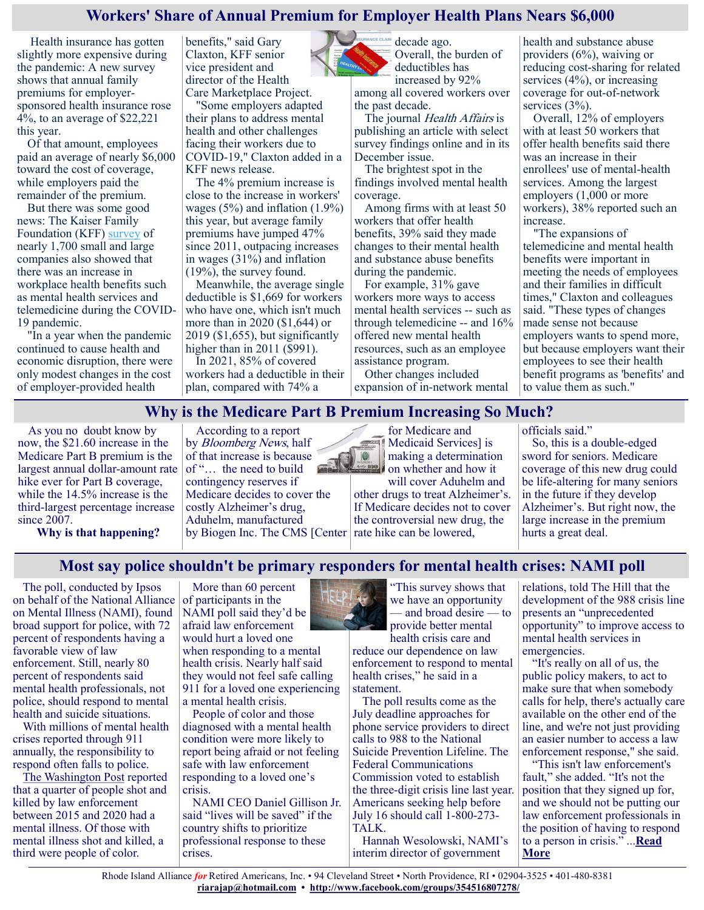# **Workers' Share of Annual Premium for Employer Health Plans Nears \$6,000**

Health insurance has gotten slightly more expensive during the pandemic: A new survey shows that annual family premiums for employersponsored health insurance rose 4%, to an average of \$22,221 this year.

Of that amount, employees paid an average of nearly \$6,000 toward the cost of coverage, while employers paid the remainder of the premium.

But there was some good news: The Kaiser Family Foundation (KFF) [survey](https://www.kff.org/health-costs/report/2021-employer-health-benefits-survey/) of nearly 1,700 small and large companies also showed that there was an increase in workplace health benefits such as mental health services and telemedicine during the COVID-19 pandemic.

"In a year when the pandemic continued to cause health and economic disruption, there were only modest changes in the cost of employer-provided health

benefits," said Gary Claxton, KFF senior vice president and director of the Health Care Marketplace Project.

"Some employers adapted their plans to address mental health and other challenges facing their workers due to COVID-19," Claxton added in a KFF news release.

The 4% premium increase is close to the increase in workers' wages  $(5\%)$  and inflation  $(1.9\%)$ this year, but average family premiums have jumped 47% since 2011, outpacing increases in wages  $(31\%)$  and inflation (19%), the survey found.

Meanwhile, the average single deductible is \$1,669 for workers who have one, which isn't much more than in 2020 (\$1,644) or 2019 (\$1,655), but significantly higher than in 2011 (\$991). In 2021, 85% of covered

workers had a deductible in their plan, compared with 74% a



NCE CLAIM decade ago. Overall, the burden of deductibles has

increased by 92% among all covered workers over the past decade.

The journal *Health Affairs* is publishing an article with select survey findings online and in its December issue.

The brightest spot in the findings involved mental health coverage.

Among firms with at least 50 workers that offer health benefits, 39% said they made changes to their mental health and substance abuse benefits during the pandemic.

For example, 31% gave workers more ways to access mental health services -- such as through telemedicine -- and 16% offered new mental health resources, such as an employee assistance program.

Other changes included expansion of in-network mental health and substance abuse providers (6%), waiving or reducing cost-sharing for related services (4%), or increasing coverage for out-of-network services (3%).

Overall, 12% of employers with at least 50 workers that offer health benefits said there was an increase in their enrollees' use of mental-health services. Among the largest employers (1,000 or more workers), 38% reported such an increase.

"The expansions of telemedicine and mental health benefits were important in meeting the needs of employees and their families in difficult times," Claxton and colleagues said. "These types of changes made sense not because employers wants to spend more, but because employers want their employees to see their health benefit programs as 'benefits' and to value them as such."

## **Why is the Medicare Part B Premium Increasing So Much?**

 $|0\rangle$ 

As you no doubt know by now, the \$21.60 increase in the Medicare Part B premium is the largest annual dollar-amount rate hike ever for Part B coverage, while the 14.5% increase is the third-largest percentage increase since 2007.

**Why is that happening?**

According to a report by Bloomberg News, half of that increase is because of "… the need to build contingency reserves if Medicare decides to cover the costly Alzheimer's drug, Aduhelm, manufactured

for Medicare and Medicaid Services] is making a determination on whether and how it

by Biogen Inc. The CMS [Center | rate hike can be lowered, will cover Aduhelm and other drugs to treat Alzheimer's. If Medicare decides not to cover the controversial new drug, the

officials said."

So, this is a double-edged sword for seniors. Medicare coverage of this new drug could be life-altering for many seniors in the future if they develop Alzheimer's. But right now, the large increase in the premium hurts a great deal.

## **Most say police shouldn't be primary responders for mental health crises: NAMI poll**

The poll, conducted by Ipsos on behalf of the National Alliance on Mental Illness (NAMI), found broad support for police, with 72 percent of respondents having a favorable view of law enforcement. Still, nearly 80 percent of respondents said mental health professionals, not police, should respond to mental health and suicide situations.

With millions of mental health crises reported through 911 annually, the responsibility to respond often falls to police.

[The Washington Post](https://www.washingtonpost.com/graphics/investigations/police-shootings-database/) reported that a quarter of people shot and killed by law enforcement between 2015 and 2020 had a mental illness. Of those with mental illness shot and killed, a third were people of color.

More than 60 percent of participants in the NAMI poll said they'd be afraid law enforcement would hurt a loved one when responding to a mental health crisis. Nearly half said they would not feel safe calling 911 for a loved one experiencing a mental health crisis.

People of color and those diagnosed with a mental health condition were more likely to report being afraid or not feeling safe with law enforcement responding to a loved one's crisis.

NAMI CEO Daniel Gillison Jr. said "lives will be saved" if the country shifts to prioritize professional response to these crises.



reduce our dependence on law enforcement to respond to mental health crises," he said in a statement.

The poll results come as the July deadline approaches for phone service providers to direct calls to 988 to the National Suicide Prevention Lifeline. The Federal Communications Commission voted to establish the three-digit crisis line last year. Americans seeking help before July 16 should call 1-800-273- TALK.

Hannah Wesolowski, NAMI's interim director of government

relations, told The Hill that the development of the 988 crisis line presents an "unprecedented opportunity" to improve access to mental health services in emergencies.

"It's really on all of us, the public policy makers, to act to make sure that when somebody calls for help, there's actually care available on the other end of the line, and we're not just providing an easier number to access a law enforcement response," she said.

"This isn't law enforcement's fault," she added. "It's not the position that they signed up for, and we should not be putting our law enforcement professionals in the position of having to respond to a person in crisis." ...**[Read](https://thehill.com/policy/healthcare/581556-majority-say-professionals-should-respond-to-mental-health-crises-instead)  [More](https://thehill.com/policy/healthcare/581556-majority-say-professionals-should-respond-to-mental-health-crises-instead)**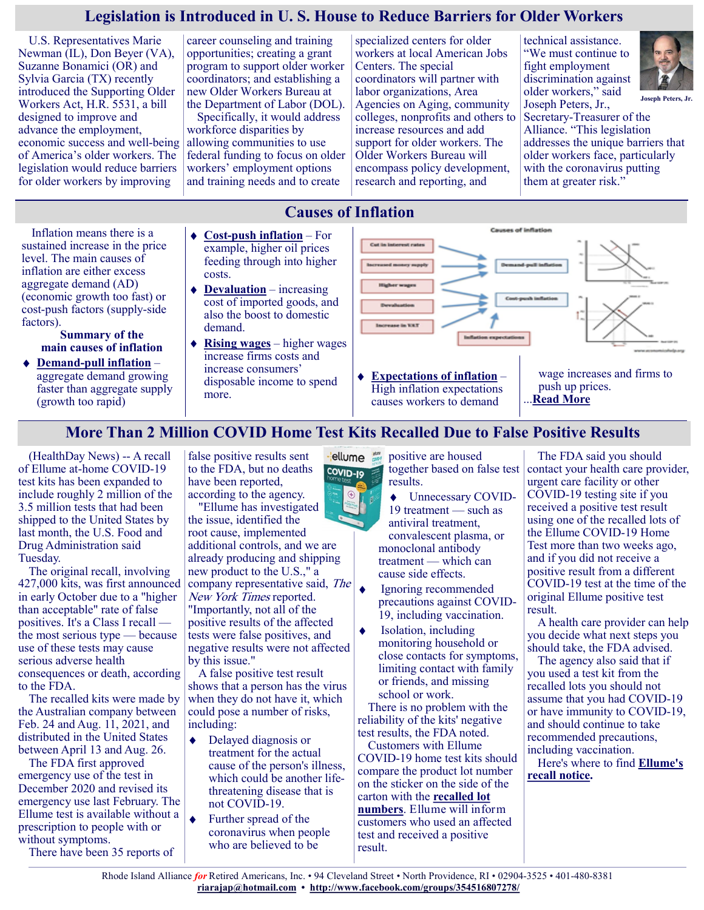# **Legislation is Introduced in U. S. House to Reduce Barriers for Older Workers**

**Causes of Inflation**

U.S. Representatives Marie Newman (IL), Don Beyer (VA), Suzanne Bonamici (OR) and Sylvia Garcia (TX) recently introduced the Supporting Older Workers Act, H.R. 5531, a bill designed to improve and advance the employment, economic success and well-being of America's older workers. The legislation would reduce barriers for older workers by improving

career counseling and training opportunities; creating a grant program to support older worker coordinators; and establishing a new Older Workers Bureau at the Department of Labor (DOL).

Specifically, it would address workforce disparities by allowing communities to use federal funding to focus on older workers' employment options and training needs and to create

specialized centers for older workers at local American Jobs Centers. The special coordinators will partner with labor organizations, Area Agencies on Aging, community colleges, nonprofits and others to increase resources and add support for older workers. The Older Workers Bureau will encompass policy development, research and reporting, and

technical assistance. "We must continue to fight employment discrimination against older workers," said Joseph Peters, Jr.,



Secretary-Treasurer of the Alliance. "This legislation addresses the unique barriers that older workers face, particularly with the coronavirus putting them at greater risk."

Inflation means there is a sustained increase in the price level. The main causes of inflation are either excess aggregate demand (AD) (economic growth too fast) or cost-push factors (supply-side factors).

#### **Summary of the main causes of inflation**

- **Demand-[pull inflation](https://www.economicshelp.org/blog/27613/inflation/demand-pull-inflation/)** aggregate demand growing faster than aggregate supply (growth too rapid)
- **Cost-[push inflation](https://www.economicshelp.org/blog/2006/economics/cost-push-inflation-2/)** For example, higher oil prices feeding through into higher costs.
- **[Devaluation](https://www.economicshelp.org/macroeconomics/macroessays/does-devaluation-cause-inflation/)** increasing cost of imported goods, and also the boost to domestic demand.
- **[Rising wages](https://www.economicshelp.org/blog/167078/economics/wage-push-inflation/)** higher wages increase firms costs and increase consumers' disposable income to spend more.



High inflation expectations causes workers to demand

push up prices. **[Read More](https://www.economicshelp.org/macroeconomics/inflation/causes-inflation/#:~:text=Inflation%20means%20there%20is%20a%20sustained%20increase%20in,too%20fast%29%20or%20cost%20push%20factors%20%28supply-side%20factors%29.)** 

# **More Than 2 Million COVID Home Test Kits Recalled Due to False Positive Results**

(HealthDay News) -- A recall of Ellume at-home COVID-19 test kits has been expanded to include roughly 2 million of the 3.5 million tests that had been shipped to the United States by last month, the U.S. Food and Drug Administration said Tuesday.

The original recall, involving 427,000 kits, was first announced in early October due to a "higher than acceptable" rate of false positives. It's a Class I recall the most serious type — because use of these tests may cause serious adverse health consequences or death, according to the FDA.

The recalled kits were made by the Australian company between Feb. 24 and Aug. 11, 2021, and distributed in the United States between April 13 and Aug. 26.

The FDA first approved emergency use of the test in December 2020 and revised its emergency use last February. The Ellume test is available without a prescription to people with or without symptoms.

There have been 35 reports of

false positive results sent to the FDA, but no deaths have been reported, according to the agency.

"Ellume has investigated the issue, identified the root cause, implemented additional controls, and we are already producing and shipping new product to the U.S.," a company representative said, The  $\bullet$ New York Times reported. "Importantly, not all of the positive results of the affected tests were false positives, and negative results were not affected by this issue."

A false positive test result shows that a person has the virus when they do not have it, which could pose a number of risks, including:

- ◆ Delayed diagnosis or treatment for the actual cause of the person's illness, which could be another lifethreatening disease that is not COVID-19.
- $\bullet$ Further spread of the coronavirus when people who are believed to be

positive are housed together based on false test results.

- Unnecessary COVID- $\bullet$ 19 treatment — such as antiviral treatment, convalescent plasma, or monoclonal antibody treatment — which can cause side effects.
- Ignoring recommended precautions against COVID-19, including vaccination.
- Isolation, including monitoring household or close contacts for symptoms, limiting contact with family or friends, and missing school or work.

There is no problem with the reliability of the kits' negative test results, the FDA noted.

Customers with Ellume COVID-19 home test kits should compare the product lot number on the sticker on the side of the carton with the **[recalled lot](https://www.ellumecovidtest.com/return/company-announcement)  [numbers](https://www.ellumecovidtest.com/return/company-announcement)**. Ellume will inform customers who used an affected test and received a positive result.

The FDA said you should contact your health care provider, urgent care facility or other COVID-19 testing site if you received a positive test result using one of the recalled lots of the Ellume COVID-19 Home Test more than two weeks ago, and if you did not receive a positive result from a different COVID-19 test at the time of the original Ellume positive test result.

A health care provider can help you decide what next steps you should take, the FDA advised.

The agency also said that if you used a test kit from the recalled lots you should not assume that you had COVID-19 or have immunity to COVID-19, and should continue to take recommended precautions, including vaccination.

Here's where to find **[Ellume's](https://www.ellumecovidtest.com/return)  [recall notice.](https://www.ellumecovidtest.com/return)** 

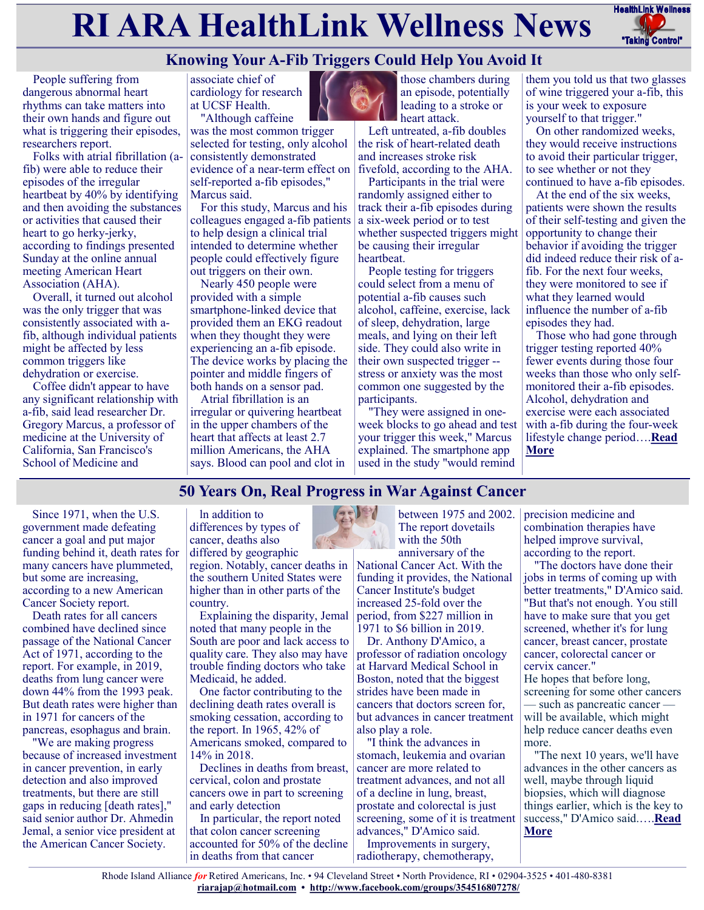# **RI ARA HealthLink Wellness News** HealthLink Wellness



# **Knowing Your A-Fib Triggers Could Help You Avoid It**

People suffering from dangerous abnormal heart rhythms can take matters into their own hands and figure out what is triggering their episodes, researchers report.

Folks with atrial fibrillation (afib) were able to reduce their episodes of the irregular heartbeat by 40% by identifying and then avoiding the substances or activities that caused their heart to go herky-jerky, according to findings presented Sunday at the online annual meeting American Heart Association (AHA).

Overall, it turned out alcohol was the only trigger that was consistently associated with afib, although individual patients might be affected by less common triggers like dehydration or exercise.

Coffee didn't appear to have any significant relationship with a-fib, said lead researcher Dr. Gregory Marcus, a professor of medicine at the University of California, San Francisco's School of Medicine and

associate chief of cardiology for research at UCSF Health. "Although caffeine

was the most common trigger selected for testing, only alcohol consistently demonstrated evidence of a near-term effect on self-reported a-fib episodes," Marcus said.

For this study, Marcus and his colleagues engaged a-fib patients to help design a clinical trial intended to determine whether people could effectively figure out triggers on their own.

Nearly 450 people were provided with a simple smartphone-linked device that provided them an EKG readout when they thought they were experiencing an a-fib episode. The device works by placing the pointer and middle fingers of both hands on a sensor pad.

Atrial fibrillation is an irregular or quivering heartbeat in the upper chambers of the heart that affects at least 2.7 million Americans, the AHA says. Blood can pool and clot in



those chambers during an episode, potentially leading to a stroke or heart attack.

Left untreated, a-fib doubles the risk of heart-related death and increases stroke risk fivefold, according to the AHA.

Participants in the trial were randomly assigned either to track their a-fib episodes during a six-week period or to test whether suspected triggers might be causing their irregular heartbeat.

People testing for triggers could select from a menu of potential a-fib causes such alcohol, caffeine, exercise, lack of sleep, dehydration, large meals, and lying on their left side. They could also write in their own suspected trigger - stress or anxiety was the most common one suggested by the participants.

"They were assigned in oneweek blocks to go ahead and test your trigger this week," Marcus explained. The smartphone app used in the study "would remind

them you told us that two glasses of wine triggered your a-fib, this is your week to exposure yourself to that trigger."

On other randomized weeks, they would receive instructions to avoid their particular trigger, to see whether or not they continued to have a-fib episodes.

At the end of the six weeks, patients were shown the results of their self-testing and given the opportunity to change their behavior if avoiding the trigger did indeed reduce their risk of afib. For the next four weeks, they were monitored to see if what they learned would influence the number of a-fib episodes they had.

Those who had gone through trigger testing reported 40% fewer events during those four weeks than those who only selfmonitored their a-fib episodes. Alcohol, dehydration and exercise were each associated with a-fib during the four-week lifestyle change period….**[Read](https://consumer.healthday.com/11-16-knowing-your-a-fib-triggers-could-help-you-avoid-it-study-2655543567.html)  [More](https://consumer.healthday.com/11-16-knowing-your-a-fib-triggers-could-help-you-avoid-it-study-2655543567.html)**

# **50 Years On, Real Progress in War Against Cancer**

Since 1971, when the U.S. government made defeating cancer a goal and put major funding behind it, death rates for many cancers have plummeted, but some are increasing, according to a new American Cancer Society report.

Death rates for all cancers combined have declined since passage of the National Cancer Act of 1971, according to the report. For example, in 2019, deaths from lung cancer were down 44% from the 1993 peak. But death rates were higher than in 1971 for cancers of the pancreas, esophagus and brain.

"We are making progress because of increased investment in cancer prevention, in early detection and also improved treatments, but there are still gaps in reducing [death rates]," said senior author Dr. Ahmedin Jemal, a senior vice president at the American Cancer Society.

ln addition to differences by types of cancer, deaths also differed by geographic region. Notably, cancer deaths in

the southern United States were higher than in other parts of the country.

Explaining the disparity, Jemal noted that many people in the South are poor and lack access to quality care. They also may have trouble finding doctors who take Medicaid, he added.

One factor contributing to the declining death rates overall is smoking cessation, according to the report. In 1965, 42% of Americans smoked, compared to 14% in 2018.

Declines in deaths from breast, cervical, colon and prostate cancers owe in part to screening and early detection

In particular, the report noted that colon cancer screening accounted for 50% of the decline in deaths from that cancer



National Cancer Act. With the funding it provides, the National Cancer Institute's budget increased 25-fold over the period, from \$227 million in 1971 to \$6 billion in 2019.

Dr. Anthony D'Amico, a professor of radiation oncology at Harvard Medical School in Boston, noted that the biggest strides have been made in cancers that doctors screen for, but advances in cancer treatment also play a role.

"I think the advances in stomach, leukemia and ovarian cancer are more related to treatment advances, and not all of a decline in lung, breast, prostate and colorectal is just screening, some of it is treatment advances," D'Amico said.

Improvements in surgery, radiotherapy, chemotherapy, precision medicine and combination therapies have helped improve survival, according to the report.

"The doctors have done their jobs in terms of coming up with better treatments," D'Amico said. "But that's not enough. You still have to make sure that you get screened, whether it's for lung cancer, breast cancer, prostate cancer, colorectal cancer or cervix cancer."

He hopes that before long, screening for some other cancers — such as pancreatic cancer will be available, which might help reduce cancer deaths even more.

"The next 10 years, we'll have advances in the other cancers as well, maybe through liquid biopsies, which will diagnose things earlier, which is the key to success," D'Amico said.….**[Read](https://consumer.healthday.com/11-11-50-years-on-real-progress-in-war-against-cancer-2655532069.html)  [More](https://consumer.healthday.com/11-11-50-years-on-real-progress-in-war-against-cancer-2655532069.html)**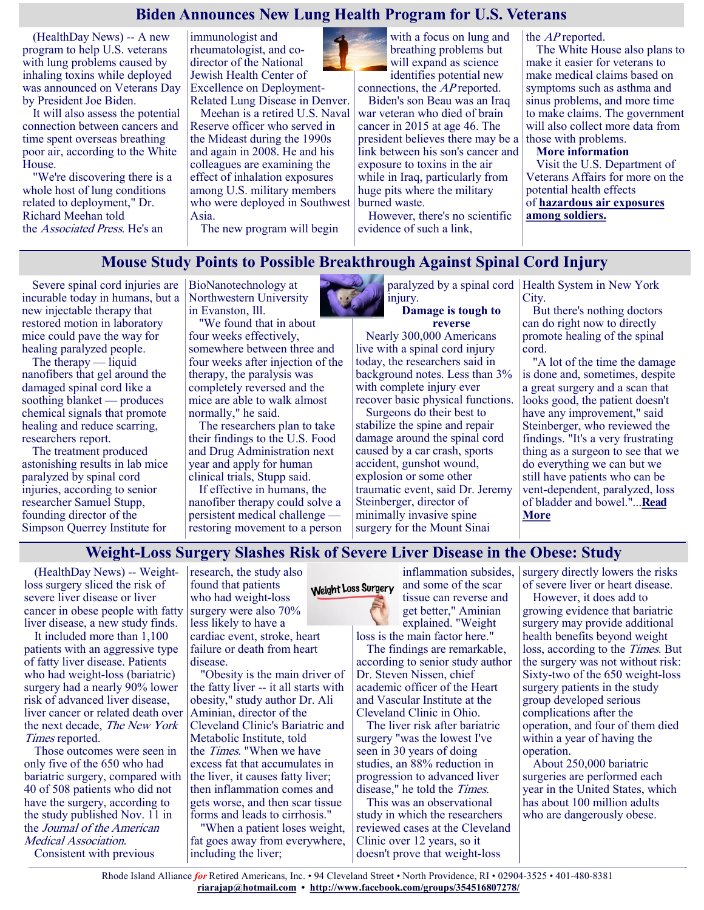#### **Biden Announces New Lung Health Program for U.S. Veterans**

(HealthDay News) -- A new program to help U.S. veterans with lung problems caused by inhaling toxins while deployed was announced on Veterans Day by President Joe Biden.

It will also assess the potential connection between cancers and time spent overseas breathing poor air, according to the White House.

"We're discovering there is a whole host of lung conditions related to deployment," Dr. Richard Meehan told the Associated Press. He's an

immunologist and rheumatologist, and codirector of the National Jewish Health Center of Excellence on Deployment-Related Lung Disease in Denver.

Meehan is a retired U.S. Naval Reserve officer who served in the Mideast during the 1990s and again in 2008. He and his colleagues are examining the effect of inhalation exposures among U.S. military members who were deployed in Southwest Asia.

The new program will begin

with a focus on lung and breathing problems but will expand as science identifies potential new

connections, the AP reported. Biden's son Beau was an Iraq war veteran who died of brain cancer in 2015 at age 46. The president believes there may be a link between his son's cancer and exposure to toxins in the air while in Iraq, particularly from huge pits where the military burned waste.

However, there's no scientific evidence of such a link,

the AP reported.

The White House also plans to make it easier for veterans to make medical claims based on symptoms such as asthma and sinus problems, and more time to make claims. The government will also collect more data from those with problems.

**More information**

Visit the U.S. Department of Veterans Affairs for more on the potential health effects of **[hazardous air exposures](https://veteran.mobilehealth.va.gov/AHBurnPitRegistry/#page/home)  [among soldiers.](https://veteran.mobilehealth.va.gov/AHBurnPitRegistry/#page/home)**

#### **Mouse Study Points to Possible Breakthrough Against Spinal Cord Injury**

Severe spinal cord injuries are incurable today in humans, but a new injectable therapy that restored motion in laboratory mice could pave the way for healing paralyzed people.

The therapy — liquid nanofibers that gel around the damaged spinal cord like a soothing blanket — produces chemical signals that promote healing and reduce scarring, researchers report.

The treatment produced astonishing results in lab mice paralyzed by spinal cord injuries, according to senior researcher Samuel Stupp, founding director of the Simpson Querrey Institute for

BioNanotechnology at Northwestern University in Evanston, Ill.

"We found that in about four weeks effectively, somewhere between three and four weeks after injection of the therapy, the paralysis was completely reversed and the mice are able to walk almost normally," he said.

The researchers plan to take their findings to the U.S. Food and Drug Administration next year and apply for human clinical trials, Stupp said.

If effective in humans, the nanofiber therapy could solve a persistent medical challenge restoring movement to a person injury.

**Damage is tough to reverse**

Nearly 300,000 Americans live with a spinal cord injury today, the researchers said in background notes. Less than 3% with complete injury ever recover basic physical functions.

Surgeons do their best to stabilize the spine and repair damage around the spinal cord caused by a car crash, sports accident, gunshot wound, explosion or some other traumatic event, said Dr. Jeremy Steinberger, director of minimally invasive spine surgery for the Mount Sinai

paralyzed by a spinal cord Health System in New York City.

> But there's nothing doctors can do right now to directly promote healing of the spinal cord.

"A lot of the time the damage is done and, sometimes, despite a great surgery and a scan that looks good, the patient doesn't have any improvement," said Steinberger, who reviewed the findings. "It's a very frustrating thing as a surgeon to see that we do everything we can but we still have patients who can be vent-dependent, paralyzed, loss of bladder and bowel."...**[Read](https://consumer.healthday.com/11-12-mouse-study-points-to-possible-breakthrough-against-spinal-cord-injury-2655520589.html)  [More](https://consumer.healthday.com/11-12-mouse-study-points-to-possible-breakthrough-against-spinal-cord-injury-2655520589.html)**

#### **Weight-Loss Surgery Slashes Risk of Severe Liver Disease in the Obese: Study**

(HealthDay News) -- Weightloss surgery sliced the risk of severe liver disease or liver cancer in obese people with fatty liver disease, a new study finds.

It included more than 1,100 patients with an aggressive type of fatty liver disease. Patients who had weight-loss (bariatric) surgery had a nearly 90% lower risk of advanced liver disease, liver cancer or related death over the next decade, The New York Times reported.

Those outcomes were seen in only five of the 650 who had bariatric surgery, compared with 40 of 508 patients who did not have the surgery, according to the study published Nov. 11 in the Journal of the American Medical Association. Consistent with previous

research, the study also found that patients who had weight-loss surgery were also 70% less likely to have a cardiac event, stroke, heart failure or death from heart disease.

"Obesity is the main driver of the fatty liver -- it all starts with obesity," study author Dr. Ali Aminian, director of the Cleveland Clinic's Bariatric and Metabolic Institute, told the Times. "When we have excess fat that accumulates in the liver, it causes fatty liver; then inflammation comes and gets worse, and then scar tissue forms and leads to cirrhosis."

"When a patient loses weight, fat goes away from everywhere, including the liver;

#### Weight Loss Surgery

and some of the scar tissue can reverse and get better," Aminian explained. "Weight loss is the main factor here."

The findings are remarkable, according to senior study author Dr. Steven Nissen, chief academic officer of the Heart and Vascular Institute at the Cleveland Clinic in Ohio.

The liver risk after bariatric surgery "was the lowest I've seen in 30 years of doing studies, an 88% reduction in progression to advanced liver disease," he told the Times.

This was an observational study in which the researchers reviewed cases at the Cleveland Clinic over 12 years, so it doesn't prove that weight-loss

inflammation subsides, surgery directly lowers the risks of severe liver or heart disease.

However, it does add to growing evidence that bariatric surgery may provide additional health benefits beyond weight loss, according to the *Times*. But the surgery was not without risk: Sixty-two of the 650 weight-loss surgery patients in the study group developed serious complications after the operation, and four of them died within a year of having the operation.

About 250,000 bariatric surgeries are performed each year in the United States, which has about 100 million adults who are dangerously obese.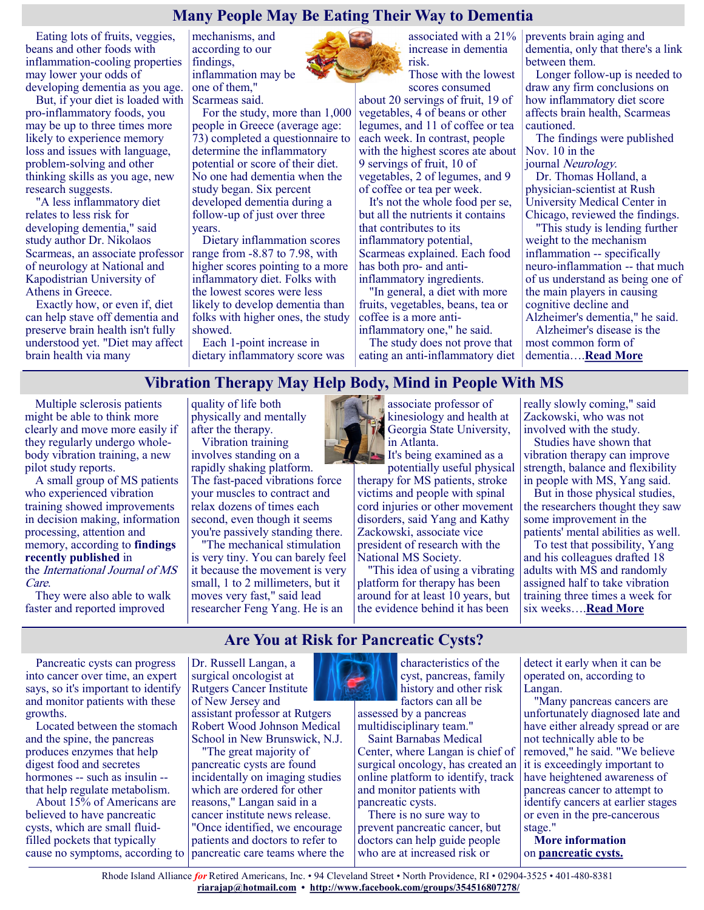## **Many People May Be Eating Their Way to Dementia**

Eating lots of fruits, veggies, beans and other foods with inflammation-cooling properties may lower your odds of developing dementia as you age.

But, if your diet is loaded with Scarmeas said. pro-inflammatory foods, you may be up to three times more likely to experience memory loss and issues with language, problem-solving and other thinking skills as you age, new research suggests.

"A less inflammatory diet relates to less risk for developing dementia," said study author Dr. Nikolaos Scarmeas, an associate professor of neurology at National and Kapodistrian University of Athens in Greece.

Exactly how, or even if, diet can help stave off dementia and preserve brain health isn't fully understood yet. "Diet may affect brain health via many

mechanisms, and according to our findings, inflammation may be one of them,"

For the study, more than 1,000 people in Greece (average age: 73) completed a questionnaire to determine the inflammatory potential or score of their diet. No one had dementia when the study began. Six percent developed dementia during a follow-up of just over three years.

Dietary inflammation scores range from -8.87 to 7.98, with higher scores pointing to a more inflammatory diet. Folks with the lowest scores were less likely to develop dementia than folks with higher ones, the study showed.

Each 1-point increase in dietary inflammatory score was associated with a 21% increase in dementia risk.

Those with the lowest scores consumed

about 20 servings of fruit, 19 of vegetables, 4 of beans or other legumes, and 11 of coffee or tea each week. In contrast, people with the highest scores ate about 9 servings of fruit, 10 of vegetables, 2 of legumes, and 9 of coffee or tea per week.

It's not the whole food per se, but all the nutrients it contains that contributes to its inflammatory potential, Scarmeas explained. Each food has both pro- and antiinflammatory ingredients.

"In general, a diet with more fruits, vegetables, beans, tea or coffee is a more antiinflammatory one," he said.

The study does not prove that eating an anti-inflammatory diet prevents brain aging and dementia, only that there's a link between them.

Longer follow-up is needed to draw any firm conclusions on how inflammatory diet score affects brain health, Scarmeas cautioned.

The findings were published Nov. 10 in the

journal Neurology.

Dr. Thomas Holland, a physician-scientist at Rush University Medical Center in Chicago, reviewed the findings.

"This study is lending further weight to the mechanism inflammation -- specifically neuro-inflammation -- that much of us understand as being one of the main players in causing cognitive decline and

Alzheimer's dementia," he said. Alzheimer's disease is the most common form of dementia….**[Read More](https://consumer.healthday.com/11-11-many-people-may-be-eating-their-way-to-dementia-2655521695.html)**

# **Vibration Therapy May Help Body, Mind in People With MS**

Multiple sclerosis patients might be able to think more clearly and move more easily if they regularly undergo wholebody vibration training, a new pilot study reports.

A small group of MS patients who experienced vibration training showed improvements in decision making, information processing, attention and memory, according to **[findings](https://tinyurl.com/7mumr85c)  [recently published](https://tinyurl.com/7mumr85c)** in the International Journal of MS Care.

They were also able to walk faster and reported improved

quality of life both physically and mentally after the therapy.

Vibration training involves standing on a rapidly shaking platform. The fast-paced vibrations force

your muscles to contract and relax dozens of times each second, even though it seems you're passively standing there.

"The mechanical stimulation is very tiny. You can barely feel it because the movement is very small, 1 to 2 millimeters, but it moves very fast," said lead researcher Feng Yang. He is an



associate professor of kinesiology and health at Georgia State University,

It's being examined as a potentially useful physical

therapy for MS patients, stroke victims and people with spinal cord injuries or other movement disorders, said Yang and Kathy Zackowski, associate vice president of research with the National MS Society.

"This idea of using a vibrating platform for therapy has been around for at least 10 years, but the evidence behind it has been

really slowly coming," said Zackowski, who was not involved with the study.

Studies have shown that vibration therapy can improve strength, balance and flexibility in people with MS, Yang said.

But in those physical studies, the researchers thought they saw some improvement in the patients' mental abilities as well.

To test that possibility, Yang and his colleagues drafted 18 adults with MS and randomly assigned half to take vibration training three times a week for six weeks….**[Read More](https://consumer.healthday.com/11-10-vibration-therapy-may-help-body-mind-in-people-with-ms-2655504588.html)**

# **Are You at Risk for Pancreatic Cysts?**

Pancreatic cysts can progress into cancer over time, an expert says, so it's important to identify and monitor patients with these growths.

Located between the stomach and the spine, the pancreas produces enzymes that help digest food and secretes hormones -- such as insulin - that help regulate metabolism.

About 15% of Americans are believed to have pancreatic cysts, which are small fluidfilled pockets that typically cause no symptoms, according to

Dr. Russell Langan, a surgical oncologist at Rutgers Cancer Institute of New Jersey and assistant professor at Rutgers Robert Wood Johnson Medical School in New Brunswick, N.J.

"The great majority of pancreatic cysts are found incidentally on imaging studies which are ordered for other reasons," Langan said in a cancer institute news release. "Once identified, we encourage patients and doctors to refer to pancreatic care teams where the



cyst, pancreas, family history and other risk factors can all be assessed by a pancreas

characteristics of the

multidisciplinary team." Saint Barnabas Medical

Center, where Langan is chief of surgical oncology, has created an online platform to identify, track and monitor patients with pancreatic cysts.

There is no sure way to prevent pancreatic cancer, but doctors can help guide people who are at increased risk or

detect it early when it can be operated on, according to Langan.

"Many pancreas cancers are unfortunately diagnosed late and have either already spread or are not technically able to be removed," he said. "We believe it is exceedingly important to have heightened awareness of pancreas cancer to attempt to identify cancers at earlier stages or even in the pre-cancerous stage."

**More information** on **[pancreatic cysts.](https://pancreasfoundation.org/patient-information/ailments-pancreas/pancreatic-cysts/)**